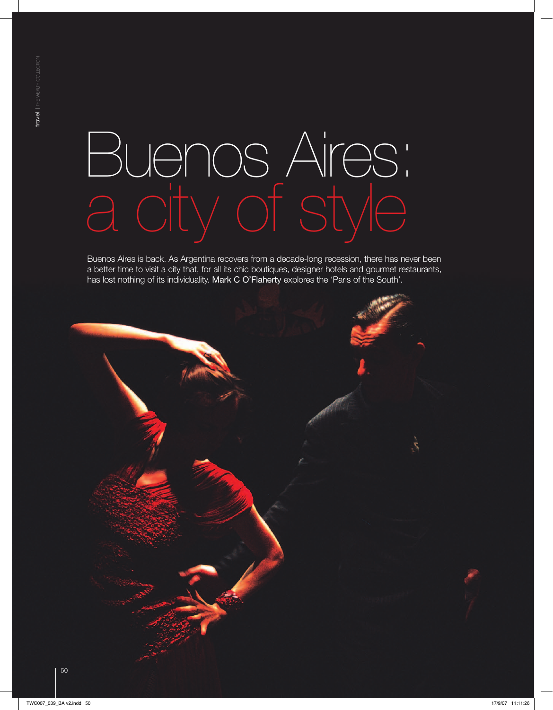# Buenos Aires: a city of style

Buenos Aires is back. As Argentina recovers from a decade-long recession, there has never been a better time to visit a city that, for all its chic boutiques, designer hotels and gourmet restaurants, has lost nothing of its individuality. Mark C O'Flaherty explores the 'Paris of the South'.

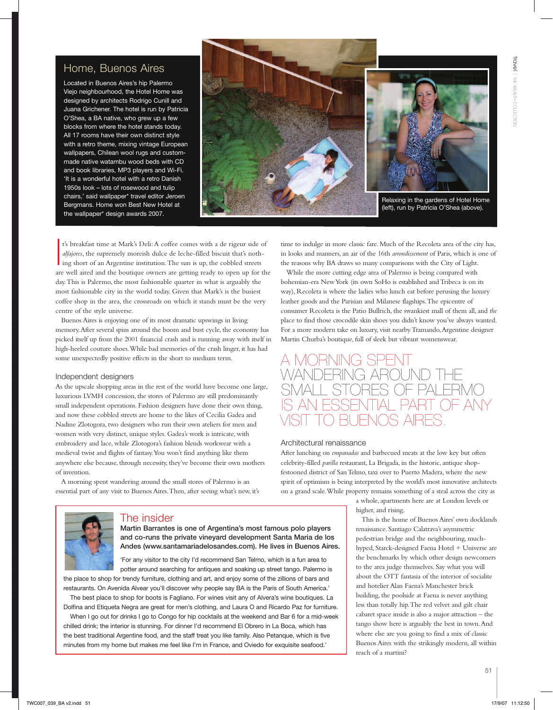### Home, Buenos Aires

Located in Buenos Aires's hip Palermo Viejo neighbourhood, the Hotel Home was designed by architects Rodrigo Cunill and Juana Grichener. The hotel is run by Patricia O'Shea, a BA native, who grew up a few blocks from where the hotel stands today. All 17 rooms have their own distinct style with a retro theme, mixing vintage European wallpapers, Chilean wool rugs and custommade native watambu wood beds with CD and book libraries, MP3 players and Wi-Fi. 'It is a wonderful hotel with a retro Danish 1950s look – lots of rosewood and tulip chairs,' said wallpaper\* travel editor Jeroen Bergmans. Home won Best New Hotel at the wallpaper\* design awards 2007.



I t's breakfast time at Mark's Deli: A coffee comes with a de rigeur side of *alfajores*, the supremely moreish dulce de leche-filled biscuit that's nothing short of an Argentine institution. The sun is up, the cobbled streets are well aired and the boutique owners are getting ready to open up for the day. This is Palermo, the most fashionable quarter in what is arguably the most fashionable city in the world today. Given that Mark's is the busiest coffee shop in the area, the crossroads on which it stands must be the very centre of the style universe.

Buenos Aires is enjoying one of its most dramatic upswings in living memory. After several spins around the boom and bust cycle, the economy has picked itself up from the 2001 financial crash and is running away with itself in high-heeled couture shoes. While bad memories of the crash linger, it has had some unexpectedly positive effects in the short to medium term.

#### Independent designers

As the upscale shopping areas in the rest of the world have become one large, luxurious LVMH concession, the stores of Palermo are still predominantly small independent operations. Fashion designers have done their own thing, and now these cobbled streets are home to the likes of Cecilia Gadea and Nadine Zlotogora, two designers who run their own ateliers for men and women with very distinct, unique styles. Gadea's work is intricate, with embroidery and lace, while Zlotogora's fashion blends workwear with a medieval twist and flights of fantasy. You won't find anything like them anywhere else because, through necessity, they've become their own mothers of invention.

A morning spent wandering around the small stores of Palermo is an essential part of any visit to Buenos Aires. Then, after seeing what's new, it's time to indulge in more classic fare. Much of the Recoleta area of the city has, in looks and manners, an air of the 16th *arrondissement* of Paris, which is one of the reasons why BA draws so many comparisons with the City of Light.

While the more cutting edge area of Palermo is being compared with bohemian-era New York (its own SoHo is established and Tribeca is on its way), Recoleta is where the ladies who lunch eat before perusing the luxury leather goods and the Parisian and Milanese flagships. The epicentre of consumer Recoleta is the Patio Bullrich, the swankiest mall of them all, and *the* place to find those crocodile skin shoes you didn't know you've always wanted. For a more modern take on luxury, visit nearby Tramando, Argentine designer Martin Churba's boutique, full of sleek but vibrant womenswear.

## A MORNING SPEN wandering around the  $PAI$   $FRMO$ is an essential part of any visit to Buenos Aires.

#### Architectural renaissance

After lunching on *empanadas* and barbecued meats at the low key but often celebrity-filled *parilla* restaurant, La Brigada, in the historic, antique shopfestooned district of San Telmo, taxi over to Puerto Madera, where the new spirit of optimism is being interpreted by the world's most innovative architects on a grand scale. While property remains something of a steal across the city as

> a whole, apartments here are at London levels or higher, and rising.

This is the home of Buenos Aires' own docklands renaissance. Santiago Calatrava's asymmetric pedestrian bridge and the neighbouring, muchhyped, Starck-designed Faena Hotel + Universe are the benchmarks by which other design newcomers to the area judge themselves. Say what you will about the OTT fantasia of the interior of socialite and hotelier Alan Faena's Manchester brick building, the poolside at Faena is never anything less than totally hip. The red velvet and gilt chair cabaret space inside is also a major attraction – the tango show here is arguably the best in town. And where else are you going to find a mix of classic Buenos Aires with the strikingly modern, all within reach of a martini?



#### The insider

Martin Barrantes is one of Argentina's most famous polo players and co-runs the private vineyard development Santa Maria de los Andes (www.santamariadelosandes.com). He lives in Buenos Aires.

'For any visitor to the city I'd recommend San Telmo, which is a fun area to potter around searching for antiques and soaking up street tango. Palermo is the place to shop for trendy furniture, clothing and art, and enjoy some of the zillions of bars and

restaurants. On Avenida Alvear you'll discover why people say BA is the Paris of South America.'

The best place to shop for boots is Fagliano. For wines visit any of Alvera's wine boutiques. La Dolfina and Etiqueta Negra are great for men's clothing, and Laura O and Ricardo Paz for furniture.

When I go out for drinks I go to Congo for hip cocktails at the weekend and Bar 6 for a mid-week chilled drink; the interior is stunning. For dinner I'd recommend El Obrero in La Boca, which has the best traditional Argentine food, and the staff treat you like family. Also Petanque, which is five minutes from my home but makes me feel like I'm in France, and Oviedo for exquisite seafood.'